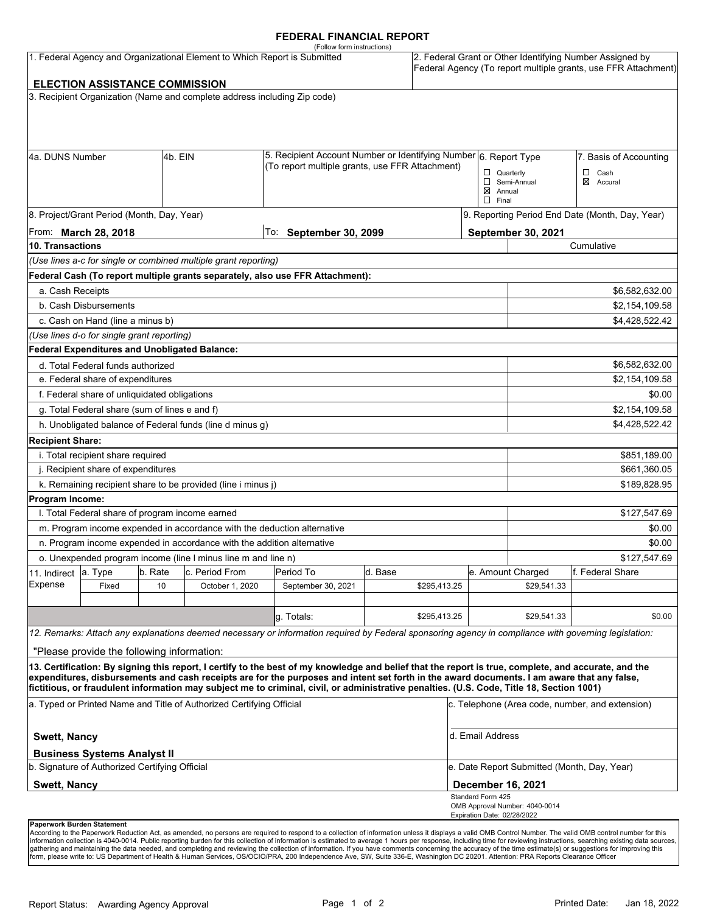# **FEDERAL FINANCIAL REPORT**

| (Follow form instructions)<br>1. Federal Agency and Organizational Element to Which Report is Submitted<br><b>ELECTION ASSISTANCE COMMISSION</b> |                                                                                      |         |                                                                          |                                                                                                                                                                                                                                                                                                                                                                                                                                                 |         |                  |                                                  |                                                                | 2. Federal Grant or Other Identifying Number Assigned by<br>Federal Agency (To report multiple grants, use FFR Attachment) |  |  |
|--------------------------------------------------------------------------------------------------------------------------------------------------|--------------------------------------------------------------------------------------|---------|--------------------------------------------------------------------------|-------------------------------------------------------------------------------------------------------------------------------------------------------------------------------------------------------------------------------------------------------------------------------------------------------------------------------------------------------------------------------------------------------------------------------------------------|---------|------------------|--------------------------------------------------|----------------------------------------------------------------|----------------------------------------------------------------------------------------------------------------------------|--|--|
|                                                                                                                                                  |                                                                                      |         | 3. Recipient Organization (Name and complete address including Zip code) |                                                                                                                                                                                                                                                                                                                                                                                                                                                 |         |                  |                                                  |                                                                |                                                                                                                            |  |  |
|                                                                                                                                                  |                                                                                      |         |                                                                          |                                                                                                                                                                                                                                                                                                                                                                                                                                                 |         |                  |                                                  |                                                                |                                                                                                                            |  |  |
| 4a. DUNS Number                                                                                                                                  |                                                                                      | 4b. EIN |                                                                          | 5. Recipient Account Number or Identifying Number 6. Report Type                                                                                                                                                                                                                                                                                                                                                                                |         |                  |                                                  |                                                                | 7. Basis of Accounting                                                                                                     |  |  |
|                                                                                                                                                  |                                                                                      |         | (To report multiple grants, use FFR Attachment)                          |                                                                                                                                                                                                                                                                                                                                                                                                                                                 |         | $\Box$ Quarterly |                                                  |                                                                | $\Box$ Cash                                                                                                                |  |  |
|                                                                                                                                                  |                                                                                      |         |                                                                          |                                                                                                                                                                                                                                                                                                                                                                                                                                                 |         |                  |                                                  | Semi-Annual<br>⊠ Accural<br>$\boxtimes$ Annual<br>$\Box$ Final |                                                                                                                            |  |  |
|                                                                                                                                                  | 8. Project/Grant Period (Month, Day, Year)                                           |         |                                                                          |                                                                                                                                                                                                                                                                                                                                                                                                                                                 |         |                  |                                                  | 9. Reporting Period End Date (Month, Day, Year)                |                                                                                                                            |  |  |
|                                                                                                                                                  | From: March 28, 2018                                                                 |         |                                                                          | To: September 30, 2099                                                                                                                                                                                                                                                                                                                                                                                                                          |         |                  |                                                  | September 30, 2021                                             |                                                                                                                            |  |  |
| 10. Transactions                                                                                                                                 |                                                                                      |         |                                                                          |                                                                                                                                                                                                                                                                                                                                                                                                                                                 |         |                  |                                                  | Cumulative                                                     |                                                                                                                            |  |  |
|                                                                                                                                                  |                                                                                      |         | (Use lines a-c for single or combined multiple grant reporting)          |                                                                                                                                                                                                                                                                                                                                                                                                                                                 |         |                  |                                                  |                                                                |                                                                                                                            |  |  |
|                                                                                                                                                  |                                                                                      |         |                                                                          | Federal Cash (To report multiple grants separately, also use FFR Attachment):                                                                                                                                                                                                                                                                                                                                                                   |         |                  |                                                  |                                                                |                                                                                                                            |  |  |
| a. Cash Receipts                                                                                                                                 |                                                                                      |         |                                                                          |                                                                                                                                                                                                                                                                                                                                                                                                                                                 |         |                  |                                                  |                                                                | \$6,582,632.00                                                                                                             |  |  |
|                                                                                                                                                  | b. Cash Disbursements                                                                |         |                                                                          |                                                                                                                                                                                                                                                                                                                                                                                                                                                 |         |                  |                                                  |                                                                | \$2,154,109.58                                                                                                             |  |  |
|                                                                                                                                                  | c. Cash on Hand (line a minus b)                                                     |         |                                                                          |                                                                                                                                                                                                                                                                                                                                                                                                                                                 |         |                  |                                                  |                                                                | \$4,428,522.42                                                                                                             |  |  |
|                                                                                                                                                  | (Use lines d-o for single grant reporting)                                           |         |                                                                          |                                                                                                                                                                                                                                                                                                                                                                                                                                                 |         |                  |                                                  |                                                                |                                                                                                                            |  |  |
|                                                                                                                                                  | Federal Expenditures and Unobligated Balance:                                        |         |                                                                          |                                                                                                                                                                                                                                                                                                                                                                                                                                                 |         |                  |                                                  |                                                                |                                                                                                                            |  |  |
| d. Total Federal funds authorized                                                                                                                |                                                                                      |         |                                                                          |                                                                                                                                                                                                                                                                                                                                                                                                                                                 |         |                  |                                                  |                                                                | \$6,582,632.00                                                                                                             |  |  |
| e. Federal share of expenditures                                                                                                                 |                                                                                      |         |                                                                          |                                                                                                                                                                                                                                                                                                                                                                                                                                                 |         |                  |                                                  |                                                                | \$2,154,109.58                                                                                                             |  |  |
| f. Federal share of unliquidated obligations                                                                                                     |                                                                                      |         |                                                                          |                                                                                                                                                                                                                                                                                                                                                                                                                                                 |         |                  |                                                  |                                                                |                                                                                                                            |  |  |
| g. Total Federal share (sum of lines e and f)<br>\$2,154,109.58                                                                                  |                                                                                      |         |                                                                          |                                                                                                                                                                                                                                                                                                                                                                                                                                                 |         |                  |                                                  |                                                                |                                                                                                                            |  |  |
|                                                                                                                                                  |                                                                                      |         | h. Unobligated balance of Federal funds (line d minus g)                 |                                                                                                                                                                                                                                                                                                                                                                                                                                                 |         |                  |                                                  |                                                                | \$4,428,522.42                                                                                                             |  |  |
| <b>Recipient Share:</b>                                                                                                                          |                                                                                      |         |                                                                          |                                                                                                                                                                                                                                                                                                                                                                                                                                                 |         |                  |                                                  |                                                                |                                                                                                                            |  |  |
| i. Total recipient share required                                                                                                                |                                                                                      |         |                                                                          |                                                                                                                                                                                                                                                                                                                                                                                                                                                 |         |                  |                                                  |                                                                | \$851,189.00                                                                                                               |  |  |
| j. Recipient share of expenditures                                                                                                               |                                                                                      |         |                                                                          |                                                                                                                                                                                                                                                                                                                                                                                                                                                 |         |                  |                                                  |                                                                | \$661,360.05                                                                                                               |  |  |
|                                                                                                                                                  |                                                                                      |         | k. Remaining recipient share to be provided (line i minus j)             |                                                                                                                                                                                                                                                                                                                                                                                                                                                 |         |                  |                                                  |                                                                | \$189,828.95                                                                                                               |  |  |
| Program Income:                                                                                                                                  |                                                                                      |         |                                                                          |                                                                                                                                                                                                                                                                                                                                                                                                                                                 |         |                  |                                                  |                                                                |                                                                                                                            |  |  |
|                                                                                                                                                  | I. Total Federal share of program income earned                                      |         |                                                                          |                                                                                                                                                                                                                                                                                                                                                                                                                                                 |         |                  |                                                  |                                                                | \$127,547.69                                                                                                               |  |  |
|                                                                                                                                                  |                                                                                      |         | m. Program income expended in accordance with the deduction alternative  |                                                                                                                                                                                                                                                                                                                                                                                                                                                 |         |                  |                                                  |                                                                | \$0.00                                                                                                                     |  |  |
|                                                                                                                                                  |                                                                                      |         | n. Program income expended in accordance with the addition alternative   |                                                                                                                                                                                                                                                                                                                                                                                                                                                 |         |                  |                                                  |                                                                | \$0.00                                                                                                                     |  |  |
| o. Unexpended program income (line I minus line m and line n)                                                                                    |                                                                                      |         |                                                                          |                                                                                                                                                                                                                                                                                                                                                                                                                                                 |         |                  |                                                  | \$127,547.69                                                   |                                                                                                                            |  |  |
| 11. Indirect                                                                                                                                     | a. Type                                                                              | b. Rate | c. Period From                                                           | Period To                                                                                                                                                                                                                                                                                                                                                                                                                                       | d. Base |                  |                                                  | e. Amount Charged                                              | f. Federal Share                                                                                                           |  |  |
| Expense                                                                                                                                          | Fixed                                                                                | 10      | October 1, 2020                                                          | September 30, 2021                                                                                                                                                                                                                                                                                                                                                                                                                              |         | \$295,413.25     |                                                  | \$29,541.33                                                    |                                                                                                                            |  |  |
|                                                                                                                                                  |                                                                                      |         |                                                                          |                                                                                                                                                                                                                                                                                                                                                                                                                                                 |         |                  |                                                  |                                                                |                                                                                                                            |  |  |
|                                                                                                                                                  |                                                                                      |         |                                                                          | g. Totals:                                                                                                                                                                                                                                                                                                                                                                                                                                      |         | \$295,413.25     |                                                  | \$29,541.33                                                    | \$0.00                                                                                                                     |  |  |
|                                                                                                                                                  | "Please provide the following information:                                           |         |                                                                          | 12. Remarks: Attach any explanations deemed necessary or information required by Federal sponsoring agency in compliance with governing legislation:                                                                                                                                                                                                                                                                                            |         |                  |                                                  |                                                                |                                                                                                                            |  |  |
|                                                                                                                                                  |                                                                                      |         |                                                                          | 13. Certification: By signing this report, I certify to the best of my knowledge and belief that the report is true, complete, and accurate, and the<br>expenditures, disbursements and cash receipts are for the purposes and intent set forth in the award documents. I am aware that any false,<br>fictitious, or fraudulent information may subject me to criminal, civil, or administrative penalties. (U.S. Code, Title 18, Section 1001) |         |                  |                                                  |                                                                |                                                                                                                            |  |  |
| a. Typed or Printed Name and Title of Authorized Certifying Official                                                                             |                                                                                      |         |                                                                          |                                                                                                                                                                                                                                                                                                                                                                                                                                                 |         |                  |                                                  | c. Telephone (Area code, number, and extension)                |                                                                                                                            |  |  |
| <b>Swett, Nancy</b>                                                                                                                              |                                                                                      |         |                                                                          |                                                                                                                                                                                                                                                                                                                                                                                                                                                 |         |                  | d. Email Address                                 |                                                                |                                                                                                                            |  |  |
|                                                                                                                                                  | <b>Business Systems Analyst II</b><br>b. Signature of Authorized Certifying Official |         |                                                                          |                                                                                                                                                                                                                                                                                                                                                                                                                                                 |         |                  |                                                  | e. Date Report Submitted (Month, Day, Year)                    |                                                                                                                            |  |  |
| <b>Swett, Nancy</b>                                                                                                                              |                                                                                      |         |                                                                          |                                                                                                                                                                                                                                                                                                                                                                                                                                                 |         |                  |                                                  | <b>December 16, 2021</b>                                       |                                                                                                                            |  |  |
|                                                                                                                                                  |                                                                                      |         |                                                                          |                                                                                                                                                                                                                                                                                                                                                                                                                                                 |         |                  | Standard Form 425<br>Expiration Date: 02/28/2022 | OMB Approval Number: 4040-0014                                 |                                                                                                                            |  |  |
| Paperwork Burden Statement                                                                                                                       |                                                                                      |         |                                                                          |                                                                                                                                                                                                                                                                                                                                                                                                                                                 |         |                  |                                                  |                                                                |                                                                                                                            |  |  |

According to the Paperwork Reduction Act, as amended, no persons are required to respond to a collection of information unless it displays a valid OMB Control Number. The valid OMB control number for this<br>information colle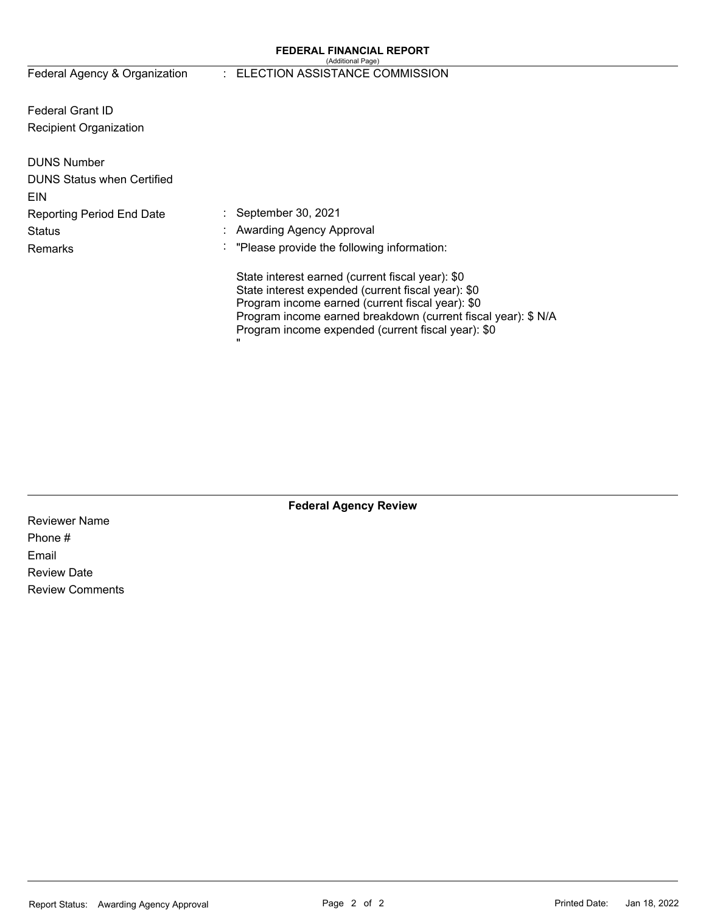### **FEDERAL FINANCIAL REPORT**  (Additional Page)

Federal Agency & Organization

# : ELECTION ASSISTANCE COMMISSION

Federal Grant ID Recipient Organization

| <b>DUNS Number</b><br><b>DUNS Status when Certified</b><br>EIN |   |                                                                                                                                                                                                                                                                                   |
|----------------------------------------------------------------|---|-----------------------------------------------------------------------------------------------------------------------------------------------------------------------------------------------------------------------------------------------------------------------------------|
| Reporting Period End Date                                      |   | $\therefore$ September 30, 2021                                                                                                                                                                                                                                                   |
| <b>Status</b>                                                  |   | : Awarding Agency Approval                                                                                                                                                                                                                                                        |
| <b>Remarks</b>                                                 |   | : "Please provide the following information:                                                                                                                                                                                                                                      |
|                                                                | " | State interest earned (current fiscal year): \$0<br>State interest expended (current fiscal year): \$0<br>Program income earned (current fiscal year): \$0<br>Program income earned breakdown (current fiscal year): \$ N/A<br>Program income expended (current fiscal year): \$0 |

**Federal Agency Review** 

Reviewer Name Phone # Email Review Date Review Comments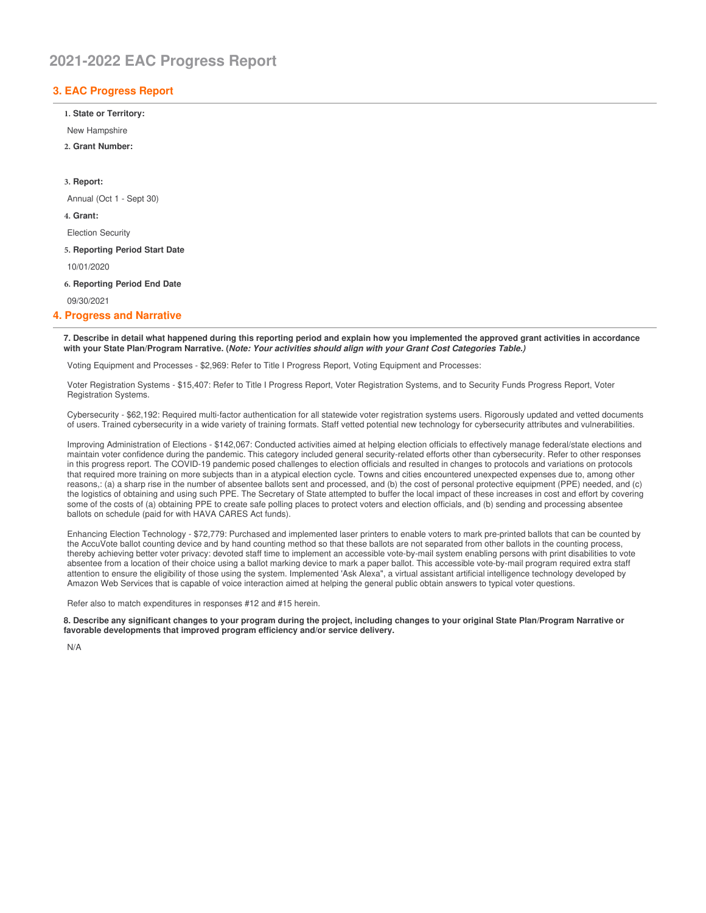## **3. EAC Progress Report**

 **4. Progress and Narrative 1. State or Territory:** New Hampshire **2. Grant Number: 3. Report:** Annual (Oct 1 - Sept 30) **4. Grant:** Election Security **5. Reporting Period Start Date** 10/01/2020 **6. Reporting Period End Date** 09/30/2021

7. Describe in detail what happened during this reporting period and explain how you implemented the approved grant activities in accordance with your State Plan/Program Narrative. (*Note: Your activities should align with your Grant Cost Categories Table.)* 

Voting Equipment and Processes - \$2,969: Refer to Title I Progress Report, Voting Equipment and Processes:

 Voter Registration Systems - \$15,407: Refer to Title I Progress Report, Voter Registration Systems, and to Security Funds Progress Report, Voter Registration Systems.

 Cybersecurity - \$62,192: Required multi-factor authentication for all statewide voter registration systems users. Rigorously updated and vetted documents of users. Trained cybersecurity in a wide variety of training formats. Staff vetted potential new technology for cybersecurity attributes and vulnerabilities.

 Improving Administration of Elections - \$142,067: Conducted activities aimed at helping election officials to effectively manage federal/state elections and maintain voter confidence during the pandemic. This category included general security-related efforts other than cybersecurity. Refer to other responses in this progress report. The COVID-19 pandemic posed challenges to election officials and resulted in changes to protocols and variations on protocols that required more training on more subjects than in a atypical election cycle. Towns and cities encountered unexpected expenses due to, among other reasons,: (a) a sharp rise in the number of absentee ballots sent and processed, and (b) the cost of personal protective equipment (PPE) needed, and (c) the logistics of obtaining and using such PPE. The Secretary of State attempted to buffer the local impact of these increases in cost and effort by covering some of the costs of (a) obtaining PPE to create safe polling places to protect voters and election officials, and (b) sending and processing absentee ballots on schedule (paid for with HAVA CARES Act funds).

 Enhancing Election Technology - \$72,779: Purchased and implemented laser printers to enable voters to mark pre-printed ballots that can be counted by the AccuVote ballot counting device and by hand counting method so that these ballots are not separated from other ballots in the counting process, thereby achieving better voter privacy: devoted staff time to implement an accessible vote-by-mail system enabling persons with print disabilities to vote absentee from a location of their choice using a ballot marking device to mark a paper ballot. This accessible vote-by-mail program required extra staff attention to ensure the eligibility of those using the system. Implemented 'Ask Alexa", a virtual assistant artificial intelligence technology developed by Amazon Web Services that is capable of voice interaction aimed at helping the general public obtain answers to typical voter questions.

Refer also to match expenditures in responses #12 and #15 herein.

8. Describe any significant changes to your program during the project, including changes to your original State Plan/Program Narrative or  **favorable developments that improved program efficiency and/or service delivery.**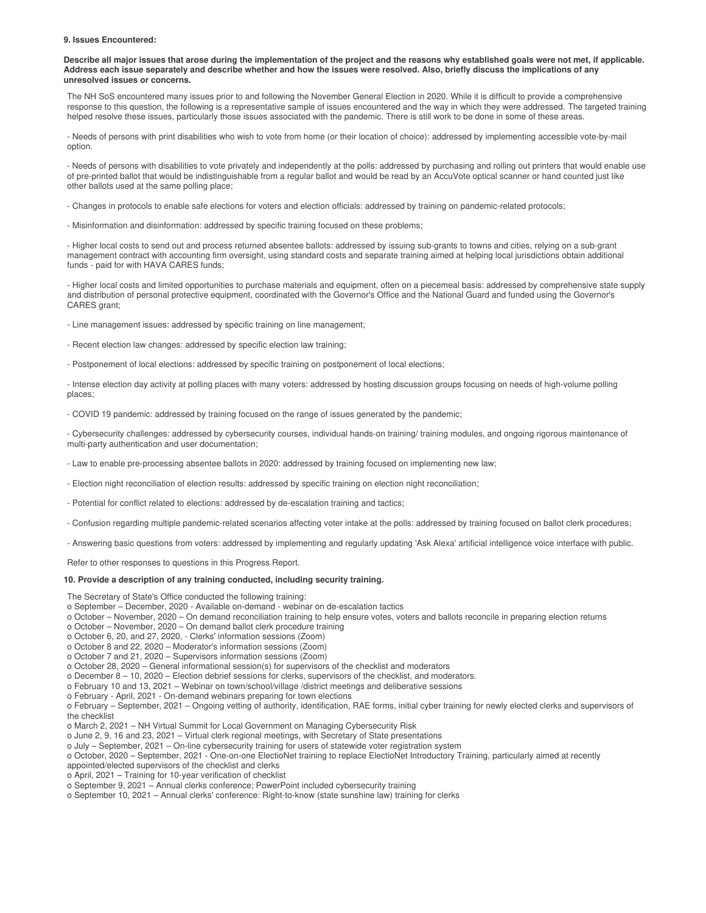#### **9. Issues Encountered:**

Describe all major issues that arose during the implementation of the project and the reasons why established goals were not met, if applicable. Address each issue separately and describe whether and how the issues were resolved. Also, briefly discuss the implications of any  **unresolved issues or concerns.**

 The NH SoS encountered many issues prior to and following the November General Election in 2020. While it is difficult to provide a comprehensive response to this question, the following is a representative sample of issues encountered and the way in which they were addressed. The targeted training helped resolve these issues, particularly those issues associated with the pandemic. There is still work to be done in some of these areas.

 - Needs of persons with print disabilities who wish to vote from home (or their location of choice): addressed by implementing accessible vote-by-mail option.

 - Needs of persons with disabilities to vote privately and independently at the polls: addressed by purchasing and rolling out printers that would enable use of pre-printed ballot that would be indistinguishable from a regular ballot and would be read by an AccuVote optical scanner or hand counted just like other ballots used at the same polling place;

- Changes in protocols to enable safe elections for voters and election officials: addressed by training on pandemic-related protocols;

- Misinformation and disinformation: addressed by specific training focused on these problems;

 - Higher local costs to send out and process returned absentee ballots: addressed by issuing sub-grants to towns and cities, relying on a sub-grant management contract with accounting firm oversight, using standard costs and separate training aimed at helping local jurisdictions obtain additional funds - paid for with HAVA CARES funds;

 - Higher local costs and limited opportunities to purchase materials and equipment, often on a piecemeal basis: addressed by comprehensive state supply and distribution of personal protective equipment, coordinated with the Governor's Office and the National Guard and funded using the Governor's CARES grant:

- Line management issues: addressed by specific training on line management;

- Recent election law changes: addressed by specific election law training;

- Postponement of local elections: addressed by specific training on postponement of local elections;

 - Intense election day activity at polling places with many voters: addressed by hosting discussion groups focusing on needs of high-volume polling places;

- COVID 19 pandemic: addressed by training focused on the range of issues generated by the pandemic;

 - Cybersecurity challenges: addressed by cybersecurity courses, individual hands-on training/ training modules, and ongoing rigorous maintenance of multi-party authentication and user documentation;

- Law to enable pre-processing absentee ballots in 2020: addressed by training focused on implementing new law;

- Election night reconciliation of election results: addressed by specific training on election night reconciliation;

- Potential for conflict related to elections: addressed by de-escalation training and tactics;

- Confusion regarding multiple pandemic-related scenarios affecting voter intake at the polls: addressed by training focused on ballot clerk procedures;

- Answering basic questions from voters: addressed by implementing and regularly updating 'Ask Alexa' artificial intelligence voice interface with public.

Refer to other responses to questions in this Progress Report.

#### **10. Provide a description of any training conducted, including security training.**

The Secretary of State's Office conducted the following training:

o September – December, 2020 - Available on-demand - webinar on de-escalation tactics

o October – November, 2020 – On demand reconciliation training to help ensure votes, voters and ballots reconcile in preparing election returns

o October – November, 2020 – On demand ballot clerk procedure training

o October 6, 20, and 27, 2020, - Clerks' information sessions (Zoom)

o October 8 and 22, 2020 – Moderator's information sessions (Zoom)

o October 7 and 21, 2020 – Supervisors information sessions (Zoom)

o October 28, 2020 – General informational session(s) for supervisors of the checklist and moderators

o December 8 – 10, 2020 – Election debrief sessions for clerks, supervisors of the checklist, and moderators.

o February 10 and 13, 2021 – Webinar on town/school/village /district meetings and deliberative sessions

o February - April, 2021 - On-demand webinars preparing for town elections

 o February – September, 2021 – Ongoing vetting of authority, identification, RAE forms, initial cyber training for newly elected clerks and supervisors of the checklist

o March 2, 2021 – NH Virtual Summit for Local Government on Managing Cybersecurity Risk

o June 2, 9, 16 and 23, 2021 – Virtual clerk regional meetings, with Secretary of State presentations

o July – September, 2021 – On-line cybersecurity training for users of statewide voter registration system

o October, 2020 – September, 2021 - One-on-one ElectioNet training to replace ElectioNet Introductory Training, particularly aimed at recently

appointed/elected supervisors of the checklist and clerks

o April, 2021 – Training for 10-year verification of checklist

o September 9, 2021 – Annual clerks conference; PowerPoint included cybersecurity training

o September 10, 2021 – Annual clerks' conference: Right-to-know (state sunshine law) training for clerks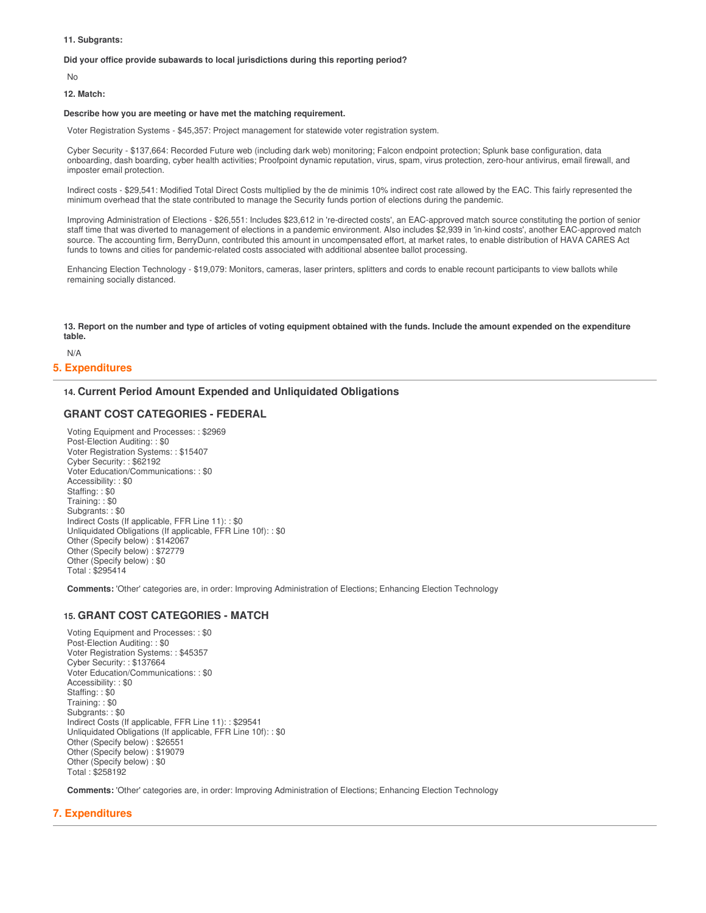### **11. Subgrants:**

#### **Did your office provide subawards to local jurisdictions during this reporting period?**

No

#### **12. Match:**

#### **Describe how you are meeting or have met the matching requirement.**

Voter Registration Systems - \$45,357: Project management for statewide voter registration system.

 Cyber Security - \$137,664: Recorded Future web (including dark web) monitoring; Falcon endpoint protection; Splunk base configuration, data onboarding, dash boarding, cyber health activities; Proofpoint dynamic reputation, virus, spam, virus protection, zero-hour antivirus, email firewall, and imposter email protection.

 Indirect costs - \$29,541: Modified Total Direct Costs multiplied by the de minimis 10% indirect cost rate allowed by the EAC. This fairly represented the minimum overhead that the state contributed to manage the Security funds portion of elections during the pandemic.

 Improving Administration of Elections - \$26,551: Includes \$23,612 in 're-directed costs', an EAC-approved match source constituting the portion of senior staff time that was diverted to management of elections in a pandemic environment. Also includes \$2,939 in 'in-kind costs', another EAC-approved match source. The accounting firm, BerryDunn, contributed this amount in uncompensated effort, at market rates, to enable distribution of HAVA CARES Act funds to towns and cities for pandemic-related costs associated with additional absentee ballot processing.

 Enhancing Election Technology - \$19,079: Monitors, cameras, laser printers, splitters and cords to enable recount participants to view ballots while remaining socially distanced.

13. Report on the number and type of articles of voting equipment obtained with the funds. Include the amount expended on the expenditure **table.**

N/A

### **5. Expenditures**

## **14. Current Period Amount Expended and Unliquidated Obligations**

# **GRANT COST CATEGORIES - FEDERAL**

 Voting Equipment and Processes: : \$2969 Post-Election Auditing: : \$0 Voter Registration Systems: : \$15407 Cyber Security: : \$62192 Voter Education/Communications: : \$0 Accessibility: : \$0 Staffing: : \$0 Training: : \$0 Subgrants: : \$0 Indirect Costs (If applicable, FFR Line 11): : \$0 Unliquidated Obligations (If applicable, FFR Line 10f): : \$0 Other (Specify below) : \$142067 Other (Specify below) : \$72779 Other (Specify below) : \$0 Total : \$295414

**Comments:** 'Other' categories are, in order: Improving Administration of Elections; Enhancing Election Technology

## **15. GRANT COST CATEGORIES - MATCH**

 Voting Equipment and Processes: : \$0 Post-Election Auditing: : \$0 Voter Registration Systems: : \$45357 Cyber Security: : \$137664 Voter Education/Communications: : \$0 Accessibility: : \$0 Staffing: : \$0 Training: : \$0 Subgrants: : \$0 Indirect Costs (If applicable, FFR Line 11): : \$29541 Unliquidated Obligations (If applicable, FFR Line 10f): : \$0 Other (Specify below) : \$26551 Other (Specify below) : \$19079 Other (Specify below) : \$0 Total : \$258192

**Comments:** 'Other' categories are, in order: Improving Administration of Elections; Enhancing Election Technology

### **7. Expenditures**